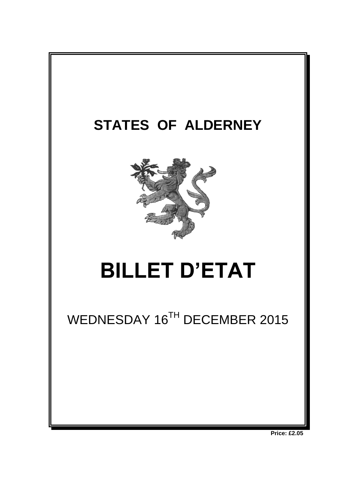

**Price: £2.05**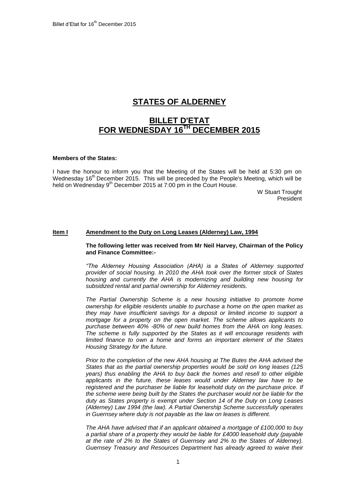# **STATES OF ALDERNEY**

# **BILLET D'ETAT FOR WEDNESDAY 16 TH DECEMBER 2015**

# **Members of the States:**

I have the honour to inform you that the Meeting of the States will be held at 5:30 pm on Wednesday 16<sup>th</sup> December 2015. This will be preceded by the People's Meeting, which will be held on Wednesday 9<sup>th</sup> December 2015 at 7:00 pm in the Court House.

> W Stuart Trought President

#### **Item I Amendment to the Duty on Long Leases (Alderney) Law, 1994**

**The following letter was received from Mr Neil Harvey, Chairman of the Policy and Finance Committee:-**

*"The Alderney Housing Association (AHA) is a States of Alderney supported provider of social housing. In 2010 the AHA took over the former stock of States housing and currently the AHA is modernizing and building new housing for subsidized rental and partial ownership for Alderney residents.*

*The Partial Ownership Scheme is a new housing initiative to promote home ownership for eligible residents unable to purchase a home on the open market as they may have insufficient savings for a deposit or limited income to support a mortgage for a property on the open market. The scheme allows applicants to purchase between 40% -80% of new build homes from the AHA on long leases. The scheme is fully supported by the States as it will encourage residents with limited finance to own a home and forms an important element of the States Housing Strategy for the future.*

*Prior to the completion of the new AHA housing at The Butes the AHA advised the States that as the partial ownership properties would be sold on long leases (125 years) thus enabling the AHA to buy back the homes and resell to other eligible applicants in the future, these leases would under Alderney law have to be*  registered and the purchaser be liable for leasehold duty on the purchase price. If *the scheme were being built by the States the purchaser would not be liable for the duty as States property is exempt under Section 14 of the Duty on Long Leases (Alderney) Law 1994 (the law). A Partial Ownership Scheme successfully operates in Guernsey where duty is not payable as the law on leases is different.*

*The AHA have advised that if an applicant obtained a mortgage of £100,000 to buy a partial share of a property they would be liable for £4000 leasehold duty (payable at the rate of 2% to the States of Guernsey and 2% to the States of Alderney). Guernsey Treasury and Resources Department has already agreed to waive their*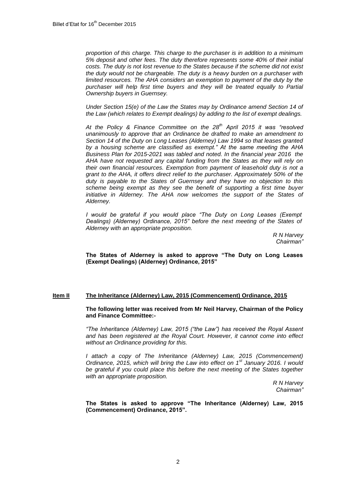*proportion of this charge. This charge to the purchaser is in addition to a minimum 5% deposit and other fees. The duty therefore represents some 40% of their initial costs. The duty is not lost revenue to the States because if the scheme did not exist the duty would not be chargeable. The duty is a heavy burden on a purchaser with limited resources. The AHA considers an exemption to payment of the duty by the purchaser will help first time buyers and they will be treated equally to Partial Ownership buyers in Guernsey.*

*Under Section 15(e) of the Law the States may by Ordinance amend Section 14 of the Law (which relates to Exempt dealings) by adding to the list of exempt dealings.*

*At the Policy & Finance Committee on the 28th April 2015 it was "resolved unanimously to approve that an Ordinance be drafted to make an amendment to Section 14 of the Duty on Long Leases (Alderney) Law 1994 so that leases granted by a housing scheme are classified as exempt." At the same meeting the AHA Business Plan for 2015-2021 was tabled and noted. In the financial year 2016 the AHA have not requested any capital funding from the States as they will rely on their own financial resources. Exemption from payment of leasehold duty is not a grant to the AHA, it offers direct relief to the purchaser. Approximately 50% of the duty is payable to the States of Guernsey and they have no objection to this scheme being exempt as they see the benefit of supporting a first time buyer initiative in Alderney. The AHA now welcomes the support of the States of Alderney.*

*I would be grateful if you would place "The Duty on Long Leases (Exempt Dealings) (Alderney) Ordinance, 2015" before the next meeting of the States of Alderney with an appropriate proposition.*

> *R N Harvey Chairman"*

**The States of Alderney is asked to approve "The Duty on Long Leases (Exempt Dealings) (Alderney) Ordinance, 2015"**

### **Item II The Inheritance (Alderney) Law, 2015 (Commencement) Ordinance, 2015**

**The following letter was received from Mr Neil Harvey, Chairman of the Policy and Finance Committee:-**

*"The Inheritance (Alderney) Law, 2015 ("the Law") has received the Royal Assent and has been registered at the Royal Court. However, it cannot come into effect without an Ordinance providing for this.* 

*I* attach a copy of The Inheritance (Alderney) Law, 2015 (Commencement) *Ordinance, 2015, which will bring the Law into effect on 1st January 2016. I would be grateful if you could place this before the next meeting of the States together with an appropriate proposition.*

*R N Harvey Chairman"*

**The States is asked to approve "The Inheritance (Alderney) Law, 2015 (Commencement) Ordinance, 2015".**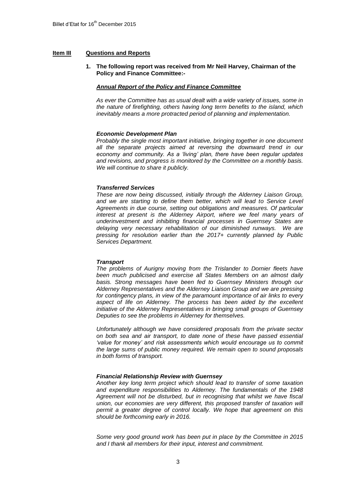## **Item III Questions and Reports**

## **1. The following report was received from Mr Neil Harvey, Chairman of the Policy and Finance Committee:-**

# *Annual Report of the Policy and Finance Committee*

*As ever the Committee has as usual dealt with a wide variety of issues, some in the nature of firefighting, others having long term benefits to the island, which inevitably means a more protracted period of planning and implementation.*

# *Economic Development Plan*

*Probably the single most important initiative, bringing together in one document all the separate projects aimed at reversing the downward trend in our economy and community. As a 'living' plan, there have been regular updates and revisions, and progress is monitored by the Committee on a monthly basis. We will continue to share it publicly.*

### *Transferred Services*

*These are now being discussed, initially through the Alderney Liaison Group,*  and we are starting to define them better, which will lead to Service Level *Agreements in due course, setting out obligations and measures. Of particular interest at present is the Alderney Airport, where we feel many years of underinvestment and inhibiting financial processes in Guernsey States are delaying very necessary rehabilitation of our diminished runways. We are pressing for resolution earlier than the 2017+ currently planned by Public Services Department.*

### *Transport*

*The problems of Aurigny moving from the Trislander to Dornier fleets have been much publicised and exercise all States Members on an almost daily basis. Strong messages have been fed to Guernsey Ministers through our Alderney Representatives and the Alderney Liaison Group and we are pressing for contingency plans, in view of the paramount importance of air links to every aspect of life on Alderney. The process has been aided by the excellent initiative of the Alderney Representatives in bringing small groups of Guernsey Deputies to see the problems in Alderney for themselves.*

*Unfortunately although we have considered proposals from the private sector on both sea and air transport, to date none of these have passed essential 'value for money' and risk assessments which would encourage us to commit the large sums of public money required. We remain open to sound proposals in both forms of transport.*

### *Financial Relationship Review with Guernsey*

*Another key long term project which should lead to transfer of some taxation and expenditure responsibilities to Alderney. The fundamentals of the 1948 Agreement will not be disturbed, but in recognising that whilst we have fiscal union, our economies are very different, this proposed transfer of taxation will permit a greater degree of control locally. We hope that agreement on this should be forthcoming early in 2016.*

*Some very good ground work has been put in place by the Committee in 2015 and I thank all members for their input, interest and commitment.*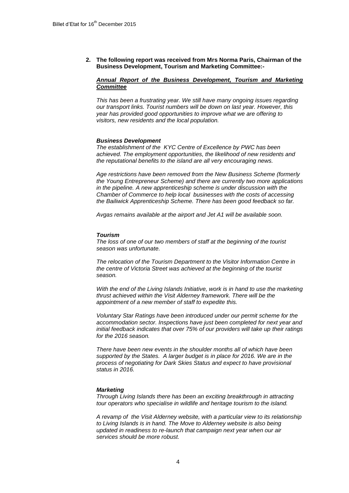**2. The following report was received from Mrs Norma Paris, Chairman of the Business Development, Tourism and Marketing Committee:-**

# *Annual Report of the Business Development, Tourism and Marketing Committee*

*This has been a frustrating year. We still have many ongoing issues regarding our transport links. Tourist numbers will be down on last year. However, this year has provided good opportunities to improve what we are offering to visitors, new residents and the local population.*

#### *Business Development*

*The establishment of the KYC Centre of Excellence by PWC has been achieved. The employment opportunities, the likelihood of new residents and the reputational benefits to the island are all very encouraging news.*

*Age restrictions have been removed from the New Business Scheme (formerly the Young Entrepreneur Scheme) and there are currently two more applications in the pipeline. A new apprenticeship scheme is under discussion with the Chamber of Commerce to help local businesses with the costs of accessing the Bailiwick Apprenticeship Scheme. There has been good feedback so far.*

*Avgas remains available at the airport and Jet A1 will be available soon.* 

#### *Tourism*

*The loss of one of our two members of staff at the beginning of the tourist season was unfortunate.* 

*The relocation of the Tourism Department to the Visitor Information Centre in the centre of Victoria Street was achieved at the beginning of the tourist season.* 

*With the end of the Living Islands Initiative, work is in hand to use the marketing thrust achieved within the Visit Alderney framework. There will be the appointment of a new member of staff to expedite this.*

*Voluntary Star Ratings have been introduced under our permit scheme for the accommodation sector. Inspections have just been completed for next year and initial feedback indicates that over 75% of our providers will take up their ratings for the 2016 season.*

*There have been new events in the shoulder months all of which have been supported by the States. A larger budget is in place for 2016. We are in the process of negotiating for Dark Skies Status and expect to have provisional status in 2016.*

#### *Marketing*

*Through Living Islands there has been an exciting breakthrough in attracting tour operators who specialise in wildlife and heritage tourism to the island.*

*A revamp of the Visit Alderney website, with a particular view to its relationship to Living Islands is in hand. The Move to Alderney website is also being updated in readiness to re-launch that campaign next year when our air services should be more robust.*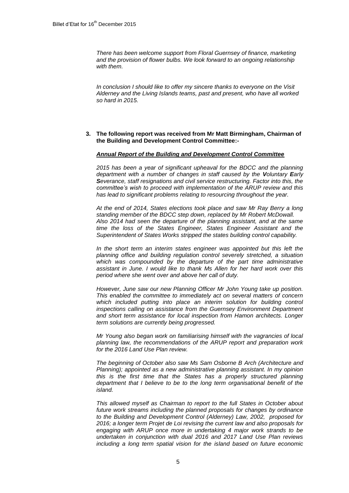*There has been welcome support from Floral Guernsey of finance, marketing and the provision of flower bulbs. We look forward to an ongoing relationship with them.*

*In conclusion I should like to offer my sincere thanks to everyone on the Visit Alderney and the Living Islands teams, past and present, who have all worked so hard in 2015.*

### **3. The following report was received from Mr Matt Birmingham, Chairman of the Building and Development Control Committee:-**

### *Annual Report of the Building and Development Control Committee*

*2015 has been a year of significant upheaval for the BDCC and the planning department with a number of changes in staff caused by the Voluntary Early Severance, staff resignations and civil service restructuring. Factor into this, the committee's wish to proceed with implementation of the ARUP review and this has lead to significant problems relating to resourcing throughout the year.*

*At the end of 2014, States elections took place and saw Mr Ray Berry a long standing member of the BDCC step down, replaced by Mr Robert McDowall. Also 2014 had seen the departure of the planning assistant, and at the same time the loss of the States Engineer, States Engineer Assistant and the Superintendent of States Works stripped the states building control capability.* 

In the short term an interim states engineer was appointed but this left the *planning office and building regulation control severely stretched, a situation which was compounded by the departure of the part time administrative assistant in June. I would like to thank Ms Allen for her hard work over this period where she went over and above her call of duty.*

*However, June saw our new Planning Officer Mr John Young take up position. This enabled the committee to immediately act on several matters of concern which included putting into place an interim solution for building control inspections calling on assistance from the Guernsey Environment Department and short term assistance for local inspection from Hamon architects. Longer term solutions are currently being progressed.*

*Mr Young also began work on familiarising himself with the vagrancies of local planning law, the recommendations of the ARUP report and preparation work for the 2016 Land Use Plan review.*

*The beginning of October also saw Ms Sam Osborne B Arch (Architecture and Planning); appointed as a new administrative planning assistant. In my opinion this is the first time that the States has a properly structured planning department that I believe to be to the long term organisational benefit of the island.*

*This allowed myself as Chairman to report to the full States in October about future work streams including the planned proposals for changes by ordinance to the Building and Development Control (Alderney) Law, 2002, proposed for 2016; a longer term Projet de Loi revising the current law and also proposals for engaging with ARUP once more in undertaking 4 major work strands to be undertaken in conjunction with dual 2016 and 2017 Land Use Plan reviews including a long term spatial vision for the island based on future economic*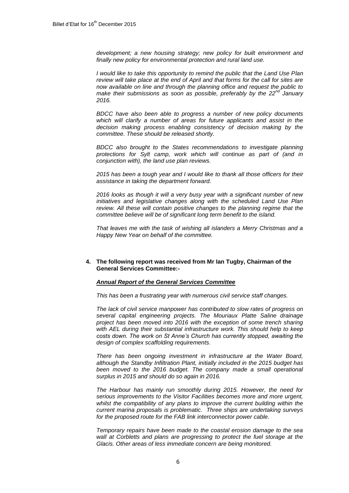*development; a new housing strategy; new policy for built environment and finally new policy for environmental protection and rural land use.*

*I would like to take this opportunity to remind the public that the Land Use Plan review will take place at the end of April and that forms for the call for sites are now available on line and through the planning office and request the public to make their submissions as soon as possible, preferably by the 22nd January 2016.*

*BDCC have also been able to progress a number of new policy documents which will clarify a number of areas for future applicants and assist in the decision making process enabling consistency of decision making by the committee. These should be released shortly.*

*BDCC also brought to the States recommendations to investigate planning protections for Sylt camp, work which will continue as part of (and in conjunction with), the land use plan reviews.*

*2015 has been a tough year and I would like to thank all those officers for their assistance in taking the department forward.*

*2016 looks as though it will a very busy year with a significant number of new initiatives and legislative changes along with the scheduled Land Use Plan review. All these will contain positive changes to the planning regime that the committee believe will be of significant long term benefit to the island.*

*That leaves me with the task of wishing all islanders a Merry Christmas and a Happy New Year on behalf of the committee.*

### **4. The following report was received from Mr Ian Tugby, Chairman of the General Services Committee:-**

### *Annual Report of the General Services Committee*

*This has been a frustrating year with numerous civil service staff changes.*

*The lack of civil service manpower has contributed to slow rates of progress on several capital engineering projects. The Mouriaux Platte Saline drainage project has been moved into 2016 with the exception of some trench sharing*  with AEL during their substantial infrastructure work. This should help to keep *costs down. The work on St Anne's Church has currently stopped, awaiting the design of complex scaffolding requirements.*

*There has been ongoing investment in infrastructure at the Water Board, although the Standby Infiltration Plant, initially included in the 2015 budget has*  been moved to the 2016 budget. The company made a small operational *surplus in 2015 and should do so again in 2016.*

*The Harbour has mainly run smoothly during 2015. However, the need for serious improvements to the Visitor Facilities becomes more and more urgent,*  whilst the compatibility of any plans to improve the current building within the *current marina proposals is problematic. Three ships are undertaking surveys for the proposed route for the FAB link interconnector power cable.* 

*Temporary repairs have been made to the coastal erosion damage to the sea wall at Corbletts and plans are progressing to protect the fuel storage at the Glacis. Other areas of less immediate concern are being monitored.*